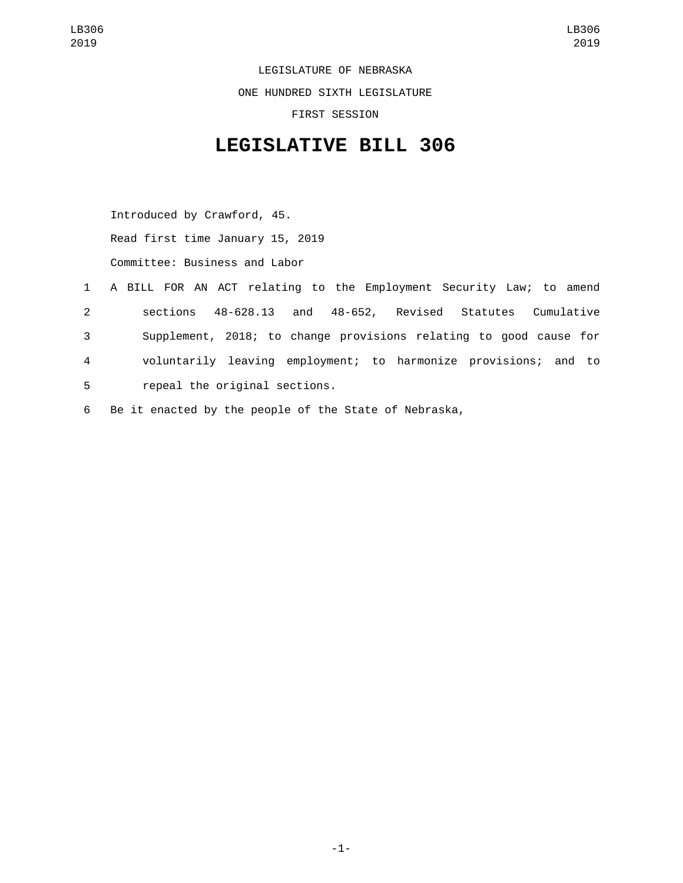LEGISLATURE OF NEBRASKA ONE HUNDRED SIXTH LEGISLATURE FIRST SESSION

## **LEGISLATIVE BILL 306**

Introduced by Crawford, 45. Read first time January 15, 2019 Committee: Business and Labor

- 1 A BILL FOR AN ACT relating to the Employment Security Law; to amend 2 sections 48-628.13 and 48-652, Revised Statutes Cumulative 3 Supplement, 2018; to change provisions relating to good cause for 4 voluntarily leaving employment; to harmonize provisions; and to 5 repeal the original sections.
- 6 Be it enacted by the people of the State of Nebraska,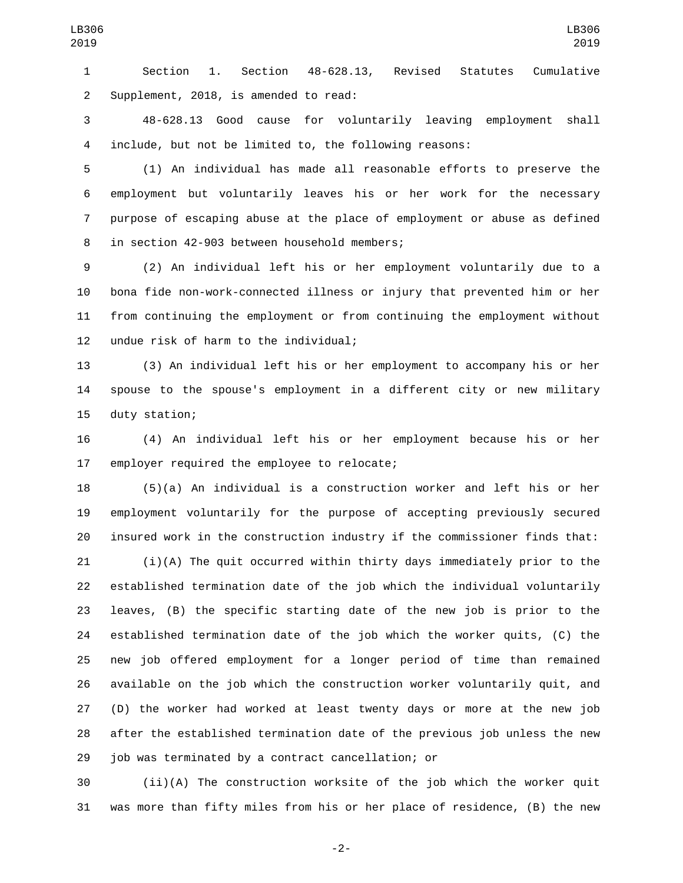Section 1. Section 48-628.13, Revised Statutes Cumulative Supplement, 2018, is amended to read:2

 48-628.13 Good cause for voluntarily leaving employment shall include, but not be limited to, the following reasons:

 (1) An individual has made all reasonable efforts to preserve the employment but voluntarily leaves his or her work for the necessary purpose of escaping abuse at the place of employment or abuse as defined 8 in section 42-903 between household members;

 (2) An individual left his or her employment voluntarily due to a bona fide non-work-connected illness or injury that prevented him or her from continuing the employment or from continuing the employment without 12 undue risk of harm to the individual;

 (3) An individual left his or her employment to accompany his or her spouse to the spouse's employment in a different city or new military 15 duty station;

 (4) An individual left his or her employment because his or her 17 employer required the employee to relocate;

 (5)(a) An individual is a construction worker and left his or her employment voluntarily for the purpose of accepting previously secured insured work in the construction industry if the commissioner finds that:

 (i)(A) The quit occurred within thirty days immediately prior to the established termination date of the job which the individual voluntarily leaves, (B) the specific starting date of the new job is prior to the established termination date of the job which the worker quits, (C) the new job offered employment for a longer period of time than remained available on the job which the construction worker voluntarily quit, and (D) the worker had worked at least twenty days or more at the new job after the established termination date of the previous job unless the new 29 job was terminated by a contract cancellation; or

 (ii)(A) The construction worksite of the job which the worker quit was more than fifty miles from his or her place of residence, (B) the new

-2-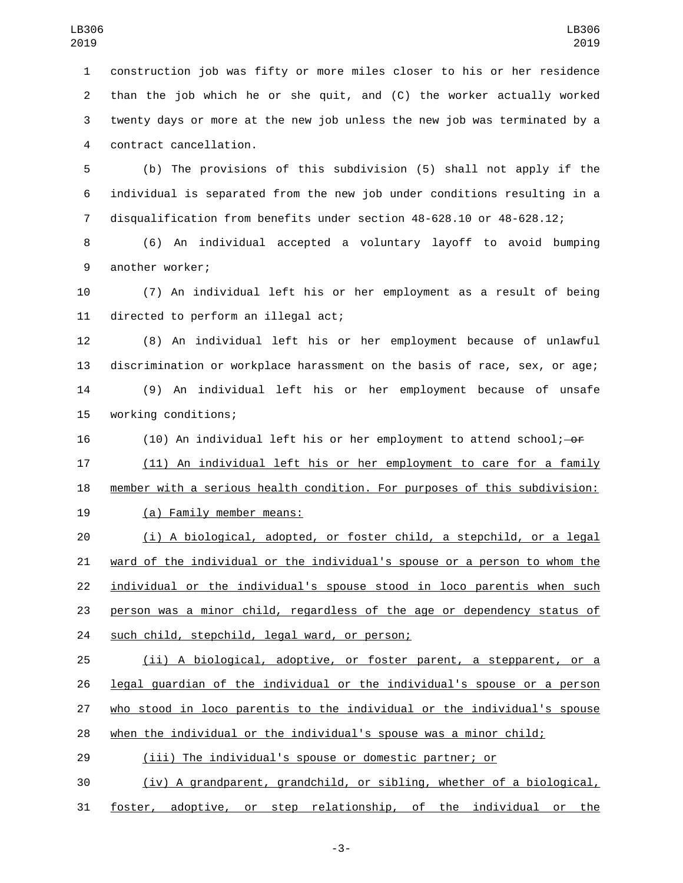construction job was fifty or more miles closer to his or her residence than the job which he or she quit, and (C) the worker actually worked twenty days or more at the new job unless the new job was terminated by a contract cancellation.4

 (b) The provisions of this subdivision (5) shall not apply if the individual is separated from the new job under conditions resulting in a disqualification from benefits under section 48-628.10 or 48-628.12;

 (6) An individual accepted a voluntary layoff to avoid bumping 9 another worker;

 (7) An individual left his or her employment as a result of being 11 directed to perform an illegal act;

 (8) An individual left his or her employment because of unlawful discrimination or workplace harassment on the basis of race, sex, or age; (9) An individual left his or her employment because of unsafe 15 working conditions;

16 (10) An individual left his or her employment to attend school;  $-$ or

 (11) An individual left his or her employment to care for a family member with a serious health condition. For purposes of this subdivision:

19 (a) Family member means:

 (i) A biological, adopted, or foster child, a stepchild, or a legal ward of the individual or the individual's spouse or a person to whom the individual or the individual's spouse stood in loco parentis when such person was a minor child, regardless of the age or dependency status of 24 such child, stepchild, legal ward, or person;

 (ii) A biological, adoptive, or foster parent, a stepparent, or a legal guardian of the individual or the individual's spouse or a person who stood in loco parentis to the individual or the individual's spouse when the individual or the individual's spouse was a minor child;

(iii) The individual's spouse or domestic partner; or

 (iv) A grandparent, grandchild, or sibling, whether of a biological, foster, adoptive, or step relationship, of the individual or the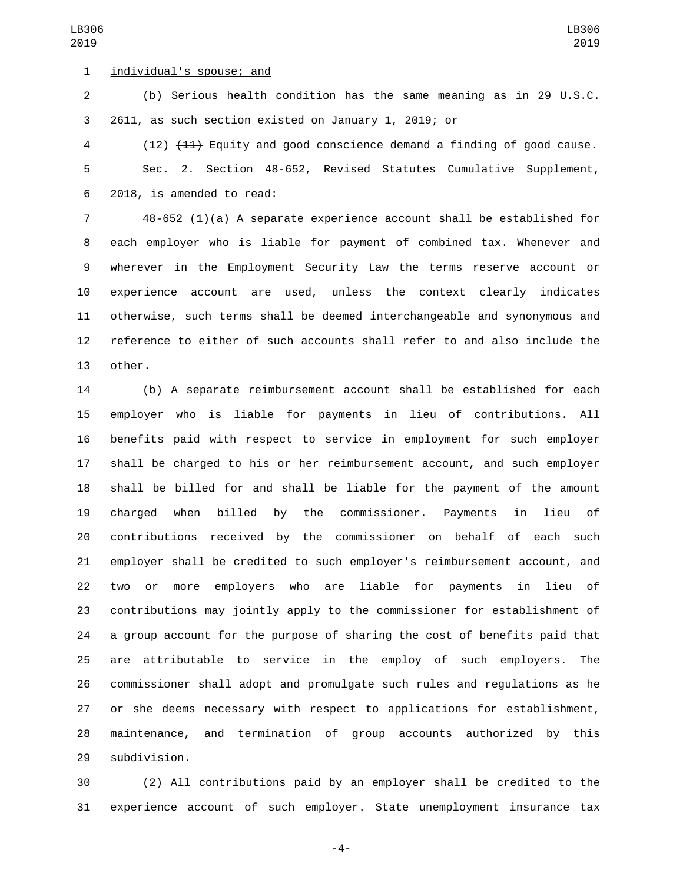individual's spouse; and1

 (b) Serious health condition has the same meaning as in 29 U.S.C. 2611, as such section existed on January 1, 2019; or

 (12) (11) Equity and good conscience demand a finding of good cause. Sec. 2. Section 48-652, Revised Statutes Cumulative Supplement, 2018, is amended to read:6

 48-652 (1)(a) A separate experience account shall be established for each employer who is liable for payment of combined tax. Whenever and wherever in the Employment Security Law the terms reserve account or experience account are used, unless the context clearly indicates otherwise, such terms shall be deemed interchangeable and synonymous and reference to either of such accounts shall refer to and also include the 13 other.

 (b) A separate reimbursement account shall be established for each employer who is liable for payments in lieu of contributions. All benefits paid with respect to service in employment for such employer shall be charged to his or her reimbursement account, and such employer shall be billed for and shall be liable for the payment of the amount charged when billed by the commissioner. Payments in lieu of contributions received by the commissioner on behalf of each such employer shall be credited to such employer's reimbursement account, and two or more employers who are liable for payments in lieu of contributions may jointly apply to the commissioner for establishment of a group account for the purpose of sharing the cost of benefits paid that are attributable to service in the employ of such employers. The commissioner shall adopt and promulgate such rules and regulations as he or she deems necessary with respect to applications for establishment, maintenance, and termination of group accounts authorized by this 29 subdivision.

 (2) All contributions paid by an employer shall be credited to the experience account of such employer. State unemployment insurance tax

-4-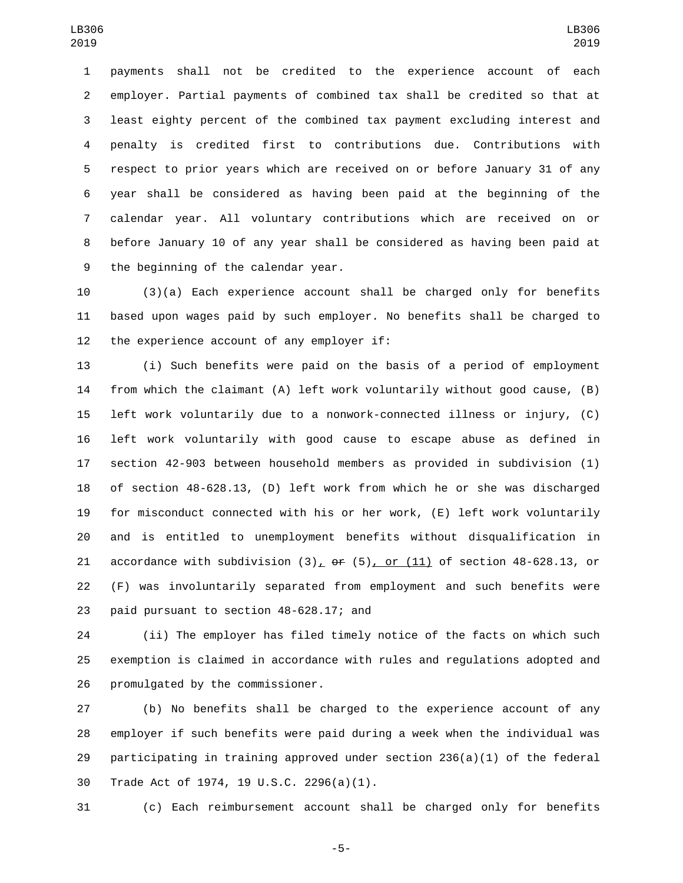payments shall not be credited to the experience account of each employer. Partial payments of combined tax shall be credited so that at least eighty percent of the combined tax payment excluding interest and penalty is credited first to contributions due. Contributions with respect to prior years which are received on or before January 31 of any year shall be considered as having been paid at the beginning of the calendar year. All voluntary contributions which are received on or before January 10 of any year shall be considered as having been paid at 9 the beginning of the calendar year.

 (3)(a) Each experience account shall be charged only for benefits based upon wages paid by such employer. No benefits shall be charged to 12 the experience account of any employer if:

 (i) Such benefits were paid on the basis of a period of employment from which the claimant (A) left work voluntarily without good cause, (B) left work voluntarily due to a nonwork-connected illness or injury, (C) left work voluntarily with good cause to escape abuse as defined in section 42-903 between household members as provided in subdivision (1) of section 48-628.13, (D) left work from which he or she was discharged for misconduct connected with his or her work, (E) left work voluntarily and is entitled to unemployment benefits without disqualification in 21 accordance with subdivision  $(3)_L$  or  $(5)$ , or  $(11)$  of section 48-628.13, or (F) was involuntarily separated from employment and such benefits were 23 paid pursuant to section 48-628.17; and

 (ii) The employer has filed timely notice of the facts on which such exemption is claimed in accordance with rules and regulations adopted and 26 promulgated by the commissioner.

 (b) No benefits shall be charged to the experience account of any employer if such benefits were paid during a week when the individual was participating in training approved under section 236(a)(1) of the federal 30 Trade Act of 1974, 19 U.S.C. 2296(a)(1).

(c) Each reimbursement account shall be charged only for benefits

-5-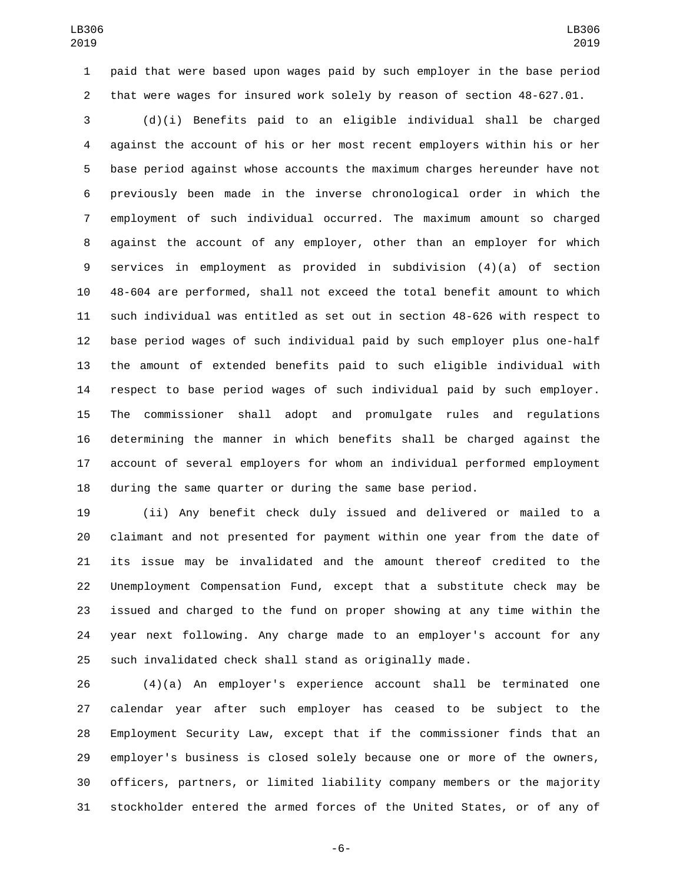paid that were based upon wages paid by such employer in the base period that were wages for insured work solely by reason of section 48-627.01.

 (d)(i) Benefits paid to an eligible individual shall be charged against the account of his or her most recent employers within his or her base period against whose accounts the maximum charges hereunder have not previously been made in the inverse chronological order in which the employment of such individual occurred. The maximum amount so charged against the account of any employer, other than an employer for which services in employment as provided in subdivision (4)(a) of section 48-604 are performed, shall not exceed the total benefit amount to which such individual was entitled as set out in section 48-626 with respect to base period wages of such individual paid by such employer plus one-half the amount of extended benefits paid to such eligible individual with respect to base period wages of such individual paid by such employer. The commissioner shall adopt and promulgate rules and regulations determining the manner in which benefits shall be charged against the account of several employers for whom an individual performed employment during the same quarter or during the same base period.

 (ii) Any benefit check duly issued and delivered or mailed to a claimant and not presented for payment within one year from the date of its issue may be invalidated and the amount thereof credited to the Unemployment Compensation Fund, except that a substitute check may be issued and charged to the fund on proper showing at any time within the year next following. Any charge made to an employer's account for any such invalidated check shall stand as originally made.

 (4)(a) An employer's experience account shall be terminated one calendar year after such employer has ceased to be subject to the Employment Security Law, except that if the commissioner finds that an employer's business is closed solely because one or more of the owners, officers, partners, or limited liability company members or the majority stockholder entered the armed forces of the United States, or of any of

-6-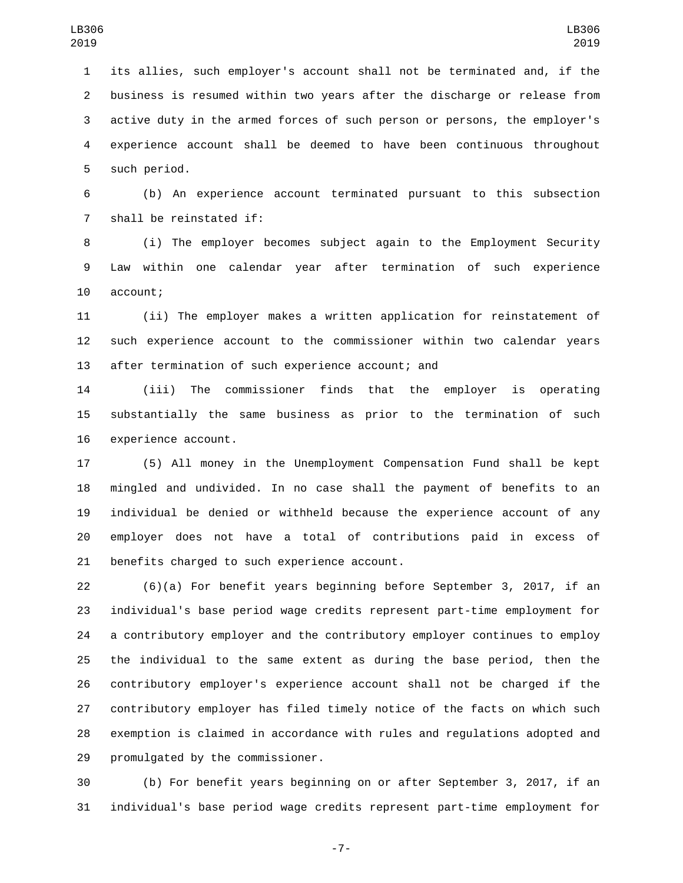its allies, such employer's account shall not be terminated and, if the business is resumed within two years after the discharge or release from active duty in the armed forces of such person or persons, the employer's experience account shall be deemed to have been continuous throughout 5 such period.

 (b) An experience account terminated pursuant to this subsection 7 shall be reinstated if:

 (i) The employer becomes subject again to the Employment Security Law within one calendar year after termination of such experience 10 account;

 (ii) The employer makes a written application for reinstatement of such experience account to the commissioner within two calendar years 13 after termination of such experience account; and

 (iii) The commissioner finds that the employer is operating substantially the same business as prior to the termination of such 16 experience account.

 (5) All money in the Unemployment Compensation Fund shall be kept mingled and undivided. In no case shall the payment of benefits to an individual be denied or withheld because the experience account of any employer does not have a total of contributions paid in excess of 21 benefits charged to such experience account.

 (6)(a) For benefit years beginning before September 3, 2017, if an individual's base period wage credits represent part-time employment for a contributory employer and the contributory employer continues to employ the individual to the same extent as during the base period, then the contributory employer's experience account shall not be charged if the contributory employer has filed timely notice of the facts on which such exemption is claimed in accordance with rules and regulations adopted and 29 promulgated by the commissioner.

 (b) For benefit years beginning on or after September 3, 2017, if an individual's base period wage credits represent part-time employment for

-7-